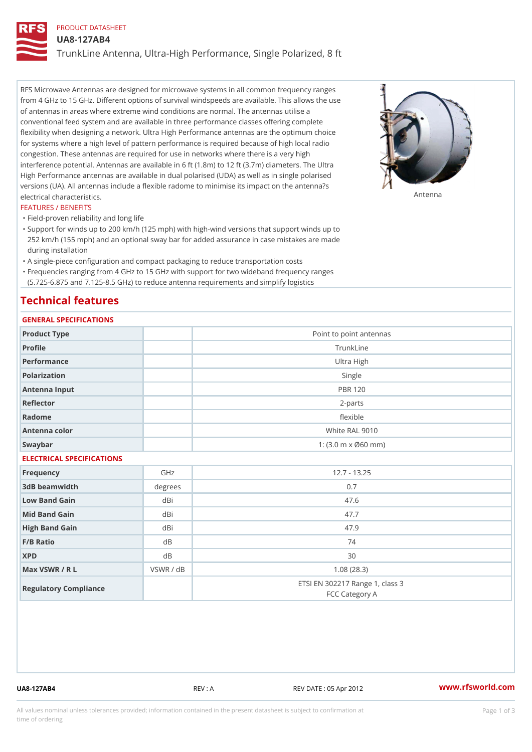# PRODUCT DATASHEET

UA8-127AB4

TrunkLine Antenna, Ultra-High Performance, Single Polarized, 8 ft

RFS Microwave Antennas are designed for microwave systems in all common frequency ranges from 4 GHz to 15 GHz. Different options of survival windspeeds are available. This allows the use of antennas in areas where extreme wind conditions are normal. The antennas utilise a conventional feed system and are available in three performance classes offering complete flexibility when designing a network. Ultra High Performance antennas are the optimum choice for systems where a high level of pattern performance is required because of high local radio congestion. These antennas are required for use in networks where there is a very high interference potential. Antennas are available in 6 ft (1.8m) to 12 ft (3.7m) diameters. The Ultra High Performance antennas are available in dual polarised (UDA) as well as in single polarised versions (UA). All antennas include a flexible radome to minimise its impact on the antenna?s electrical characteristics. Antenna

#### FEATURES / BENEFITS

"Field-proven reliability and long life

- Support for winds up to 200 km/h (125 mph) with high-wind versions that support winds up to " 252 km/h (155 mph) and an optional sway bar for added assurance in case mistakes are made during installation
- "A single-piece configuration and compact packaging to reduce transportation costs
- Frequencies ranging from 4 GHz to 15 GHz with support for two wideband frequency ranges "
- (5.725-6.875 and 7.125-8.5 GHz) to reduce antenna requirements and simplify logistics

# Technical features

# GENERAL SPECIFICATIONS

| OLIVERAL OF LOTITUATIONS  |              |                                                         |  |  |  |
|---------------------------|--------------|---------------------------------------------------------|--|--|--|
| Product Type              |              | Point to point antennas                                 |  |  |  |
| Profile                   |              | TrunkLine                                               |  |  |  |
| Performance               |              | Ultra High                                              |  |  |  |
| Polarization              |              | Single                                                  |  |  |  |
| Antenna Input             |              | <b>PBR 120</b>                                          |  |  |  |
| Reflector                 | $2 - p$ arts |                                                         |  |  |  |
| Radome                    | flexible     |                                                         |  |  |  |
| Antenna color             |              | White RAL 9010                                          |  |  |  |
| Swaybar                   |              | 1: $(3.0 \, \text{m} \times \emptyset 60 \, \text{mm})$ |  |  |  |
| ELECTRICAL SPECIFICATIONS |              |                                                         |  |  |  |
| Frequency                 | GHz          | $12.7 - 13.25$                                          |  |  |  |
| 3dB beamwidth             | degrees      | 0.7                                                     |  |  |  |
| Low Band Gain             | dBi          | 47.6                                                    |  |  |  |
| Mid Band Gain             | dBi          | 47.7                                                    |  |  |  |
| High Band Gain            | dBi          | 47.9                                                    |  |  |  |
| F/B Ratio                 | d B          | 74                                                      |  |  |  |
| <b>XPD</b>                | d B          | 30                                                      |  |  |  |
| Max VSWR / R L            | VSWR / dB    | 1.08(28.3)                                              |  |  |  |
| Regulatory Compliance     |              | ETSI EN 302217 Range 1, class 3<br>FCC Category A       |  |  |  |

UA8-127AB4 REV : A REV DATE : 05 Apr 2012 [www.](https://www.rfsworld.com)rfsworld.com

All values nominal unless tolerances provided; information contained in the present datasheet is subject to Pcapgeign mation time of ordering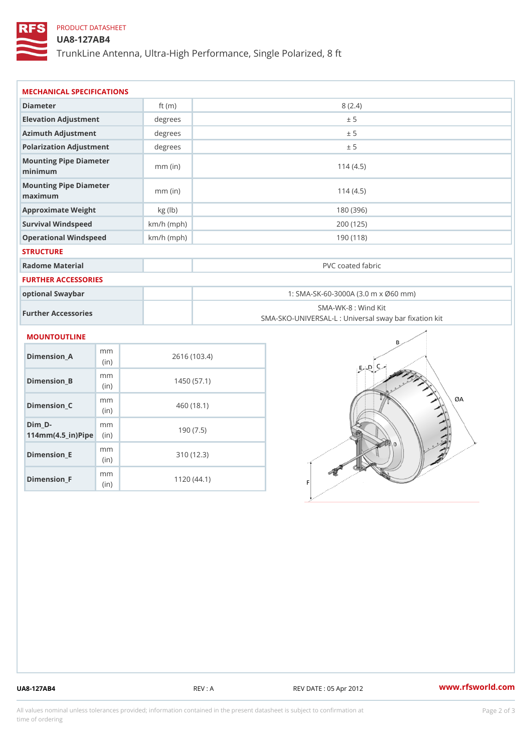# PRODUCT DATASHEET

# UA8-127AB4

TrunkLine Antenna, Ultra-High Performance, Single Polarized, 8 ft

| MECHANICAL SPECIFICATIONS                                                                |              |                                                                          |  |  |
|------------------------------------------------------------------------------------------|--------------|--------------------------------------------------------------------------|--|--|
| Diameter                                                                                 | ft $(m)$     | 8(2.4)                                                                   |  |  |
| Elevation Adjustment                                                                     | degrees      | ± 5                                                                      |  |  |
| Azimuth Adjustment                                                                       | degree:      | ± 5                                                                      |  |  |
| Polarization Adjustment                                                                  | degrees      | ± 5                                                                      |  |  |
| Mounting Pipe Diameter<br>minimum                                                        | $mm$ (in)    | 114(4.5)                                                                 |  |  |
| Mounting Pipe Diameter<br>maximum                                                        | $mm$ (in)    | 114(4.5)                                                                 |  |  |
| Approximate Weight                                                                       | kg (1b)      | 180 (396)                                                                |  |  |
| Survival Windspeed                                                                       | $km/h$ (mph) | 200 (125)                                                                |  |  |
| Operational Windspeed                                                                    | $km/h$ (mph) | 190 (118)                                                                |  |  |
| <b>STRUCTURE</b>                                                                         |              |                                                                          |  |  |
| Radome Material                                                                          |              | PVC coated fabric                                                        |  |  |
| FURTHER ACCESSORIES                                                                      |              |                                                                          |  |  |
| optional Swaybar                                                                         |              | 1: SMA-SK-60-3000A (3.0 m x Ø60 mm)                                      |  |  |
| Further Accessories                                                                      |              | SMA-WK-8 : Wind Kit<br>SMA-SKO-UNIVERSAL-L : Universal sway bar fixation |  |  |
| MOUNTOUTLINE                                                                             |              |                                                                          |  |  |
| m m<br>$Dimension_A$<br>(in)                                                             |              | 2616 (103.4)                                                             |  |  |
| m m<br>Dimension_B<br>(in)                                                               |              | 1450(57.1)                                                               |  |  |
| m m<br>$Dimension_C$<br>(in)                                                             |              | 460 (18.1)                                                               |  |  |
| $Dim_D - D -$<br>m <sub>m</sub><br>$114$ m m $(4.5$ ir $)$ $\sqrt{$ ii $\sqrt{p}}$ $\ge$ |              | 190(7.5)                                                                 |  |  |
|                                                                                          |              |                                                                          |  |  |

Dimension\_E

Dimension\_F

mm (in)

m<sub>m</sub> (in)

310 (12.3)

1120 (44.1)

UA8-127AB4 REV : A REV : A REV DATE : 05 Apr 2012 WWW.rfsworld.com